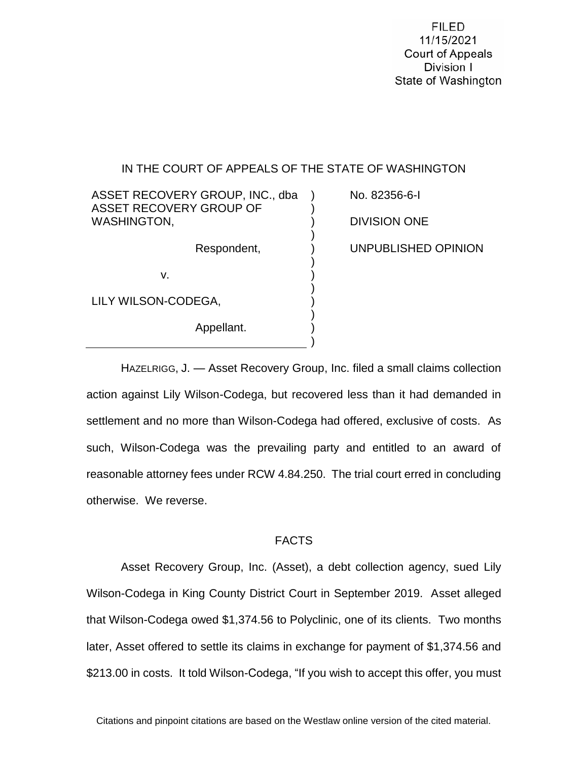**FILED** 11/15/2021 **Court of Appeals** Division I State of Washington

## IN THE COURT OF APPEALS OF THE STATE OF WASHINGTON

) ) ) ) ) ) ) ) ) ) ) )

ASSET RECOVERY GROUP, INC., dba ASSET RECOVERY GROUP OF WASHINGTON,

Respondent,

v.

LILY WILSON-CODEGA,

Appellant.

No. 82356-6-I DIVISION ONE UNPUBLISHED OPINION

HAZELRIGG, J. — Asset Recovery Group, Inc. filed a small claims collection action against Lily Wilson-Codega, but recovered less than it had demanded in settlement and no more than Wilson-Codega had offered, exclusive of costs. As such, Wilson-Codega was the prevailing party and entitled to an award of reasonable attorney fees under RCW 4.84.250. The trial court erred in concluding otherwise. We reverse.

#### FACTS

Asset Recovery Group, Inc. (Asset), a debt collection agency, sued Lily Wilson-Codega in King County District Court in September 2019. Asset alleged that Wilson-Codega owed \$1,374.56 to Polyclinic, one of its clients. Two months later, Asset offered to settle its claims in exchange for payment of \$1,374.56 and \$213.00 in costs. It told Wilson-Codega, "If you wish to accept this offer, you must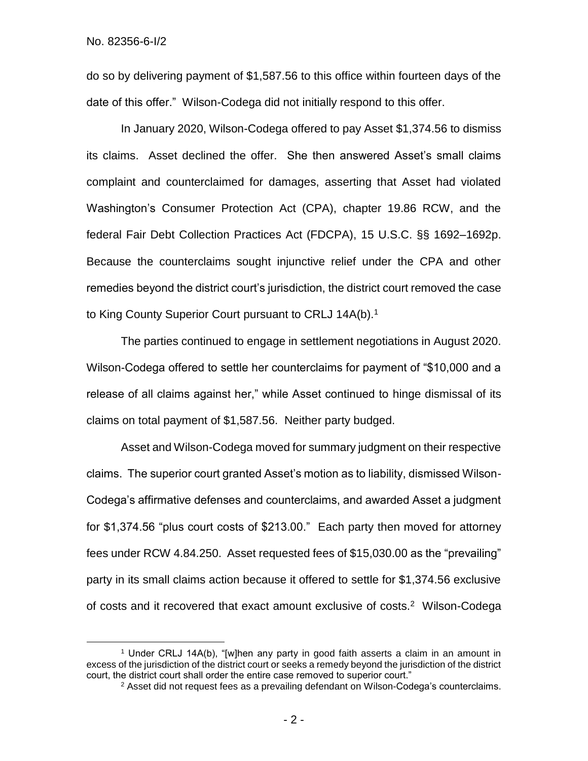$\overline{a}$ 

do so by delivering payment of \$1,587.56 to this office within fourteen days of the date of this offer." Wilson-Codega did not initially respond to this offer.

In January 2020, Wilson-Codega offered to pay Asset \$1,374.56 to dismiss its claims. Asset declined the offer. She then answered Asset's small claims complaint and counterclaimed for damages, asserting that Asset had violated Washington's Consumer Protection Act (CPA), chapter 19.86 RCW, and the federal Fair Debt Collection Practices Act (FDCPA), 15 U.S.C. §§ 1692–1692p. Because the counterclaims sought injunctive relief under the CPA and other remedies beyond the district court's jurisdiction, the district court removed the case to King County Superior Court pursuant to CRLJ 14A(b). 1

The parties continued to engage in settlement negotiations in August 2020. Wilson-Codega offered to settle her counterclaims for payment of "\$10,000 and a release of all claims against her," while Asset continued to hinge dismissal of its claims on total payment of \$1,587.56. Neither party budged.

Asset and Wilson-Codega moved for summary judgment on their respective claims. The superior court granted Asset's motion as to liability, dismissed Wilson-Codega's affirmative defenses and counterclaims, and awarded Asset a judgment for \$1,374.56 "plus court costs of \$213.00." Each party then moved for attorney fees under RCW 4.84.250. Asset requested fees of \$15,030.00 as the "prevailing" party in its small claims action because it offered to settle for \$1,374.56 exclusive of costs and it recovered that exact amount exclusive of costs.<sup>2</sup> Wilson-Codega

<sup>1</sup> Under CRLJ 14A(b), "[w]hen any party in good faith asserts a claim in an amount in excess of the jurisdiction of the district court or seeks a remedy beyond the jurisdiction of the district court, the district court shall order the entire case removed to superior court."

 $2$  Asset did not request fees as a prevailing defendant on Wilson-Codega's counterclaims.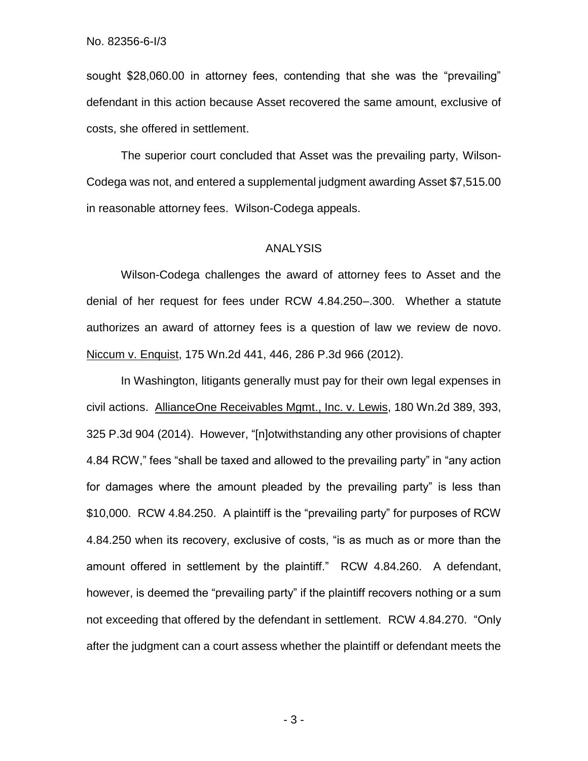sought \$28,060.00 in attorney fees, contending that she was the "prevailing" defendant in this action because Asset recovered the same amount, exclusive of costs, she offered in settlement.

The superior court concluded that Asset was the prevailing party, Wilson-Codega was not, and entered a supplemental judgment awarding Asset \$7,515.00 in reasonable attorney fees. Wilson-Codega appeals.

### ANALYSIS

Wilson-Codega challenges the award of attorney fees to Asset and the denial of her request for fees under RCW 4.84.250–.300. Whether a statute authorizes an award of attorney fees is a question of law we review de novo. Niccum v. Enquist, 175 Wn.2d 441, 446, 286 P.3d 966 (2012).

In Washington, litigants generally must pay for their own legal expenses in civil actions. AllianceOne Receivables Mgmt., Inc. v. Lewis, 180 Wn.2d 389, 393, 325 P.3d 904 (2014). However, "[n]otwithstanding any other provisions of chapter 4.84 RCW," fees "shall be taxed and allowed to the prevailing party" in "any action for damages where the amount pleaded by the prevailing party" is less than \$10,000. RCW 4.84.250. A plaintiff is the "prevailing party" for purposes of RCW 4.84.250 when its recovery, exclusive of costs, "is as much as or more than the amount offered in settlement by the plaintiff." RCW 4.84.260. A defendant, however, is deemed the "prevailing party" if the plaintiff recovers nothing or a sum not exceeding that offered by the defendant in settlement. RCW 4.84.270. "Only after the judgment can a court assess whether the plaintiff or defendant meets the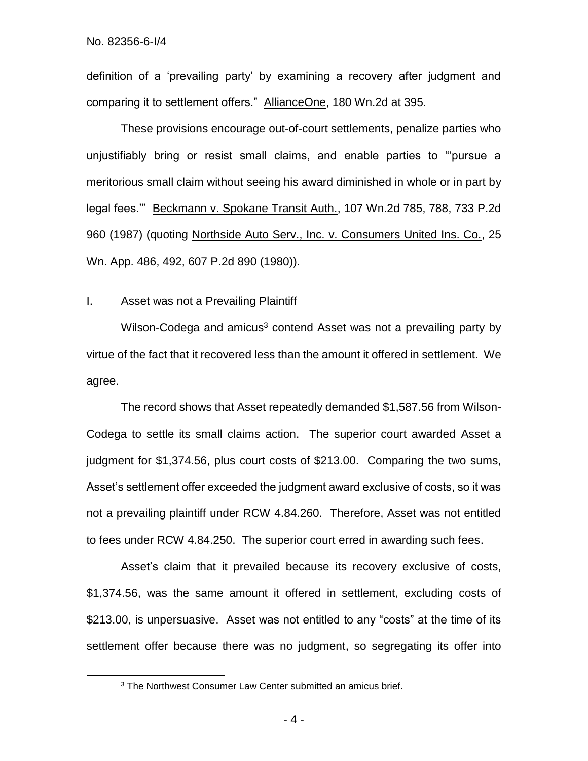$\overline{a}$ 

definition of a 'prevailing party' by examining a recovery after judgment and comparing it to settlement offers." AllianceOne, 180 Wn.2d at 395.

These provisions encourage out-of-court settlements, penalize parties who unjustifiably bring or resist small claims, and enable parties to "'pursue a meritorious small claim without seeing his award diminished in whole or in part by legal fees.'" Beckmann v. Spokane Transit Auth., 107 Wn.2d 785, 788, 733 P.2d 960 (1987) (quoting Northside Auto Serv., Inc. v. Consumers United Ins. Co., 25 Wn. App. 486, 492, 607 P.2d 890 (1980)).

I. Asset was not a Prevailing Plaintiff

Wilson-Codega and amicus<sup>3</sup> contend Asset was not a prevailing party by virtue of the fact that it recovered less than the amount it offered in settlement. We agree.

The record shows that Asset repeatedly demanded \$1,587.56 from Wilson-Codega to settle its small claims action. The superior court awarded Asset a judgment for \$1,374.56, plus court costs of \$213.00. Comparing the two sums, Asset's settlement offer exceeded the judgment award exclusive of costs, so it was not a prevailing plaintiff under RCW 4.84.260. Therefore, Asset was not entitled to fees under RCW 4.84.250. The superior court erred in awarding such fees.

Asset's claim that it prevailed because its recovery exclusive of costs, \$1,374.56, was the same amount it offered in settlement, excluding costs of \$213.00, is unpersuasive. Asset was not entitled to any "costs" at the time of its settlement offer because there was no judgment, so segregating its offer into

<sup>&</sup>lt;sup>3</sup> The Northwest Consumer Law Center submitted an amicus brief.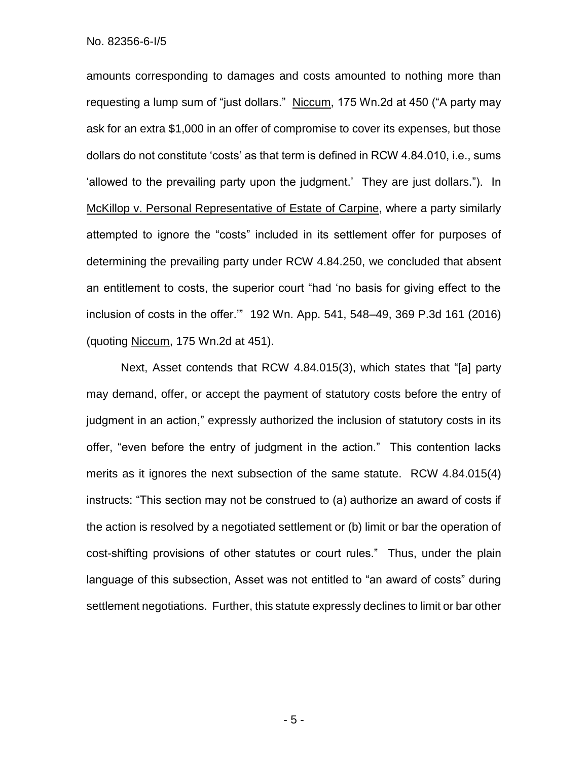amounts corresponding to damages and costs amounted to nothing more than requesting a lump sum of "just dollars." Niccum, 175 Wn.2d at 450 ("A party may ask for an extra \$1,000 in an offer of compromise to cover its expenses, but those dollars do not constitute 'costs' as that term is defined in RCW 4.84.010, i.e., sums 'allowed to the prevailing party upon the judgment.' They are just dollars."). In McKillop v. Personal Representative of Estate of Carpine, where a party similarly attempted to ignore the "costs" included in its settlement offer for purposes of determining the prevailing party under RCW 4.84.250, we concluded that absent an entitlement to costs, the superior court "had 'no basis for giving effect to the inclusion of costs in the offer.'" 192 Wn. App. 541, 548–49, 369 P.3d 161 (2016) (quoting Niccum, 175 Wn.2d at 451).

Next, Asset contends that RCW 4.84.015(3), which states that "[a] party may demand, offer, or accept the payment of statutory costs before the entry of judgment in an action," expressly authorized the inclusion of statutory costs in its offer, "even before the entry of judgment in the action." This contention lacks merits as it ignores the next subsection of the same statute. RCW 4.84.015(4) instructs: "This section may not be construed to (a) authorize an award of costs if the action is resolved by a negotiated settlement or (b) limit or bar the operation of cost-shifting provisions of other statutes or court rules." Thus, under the plain language of this subsection, Asset was not entitled to "an award of costs" during settlement negotiations. Further, this statute expressly declines to limit or bar other

- 5 -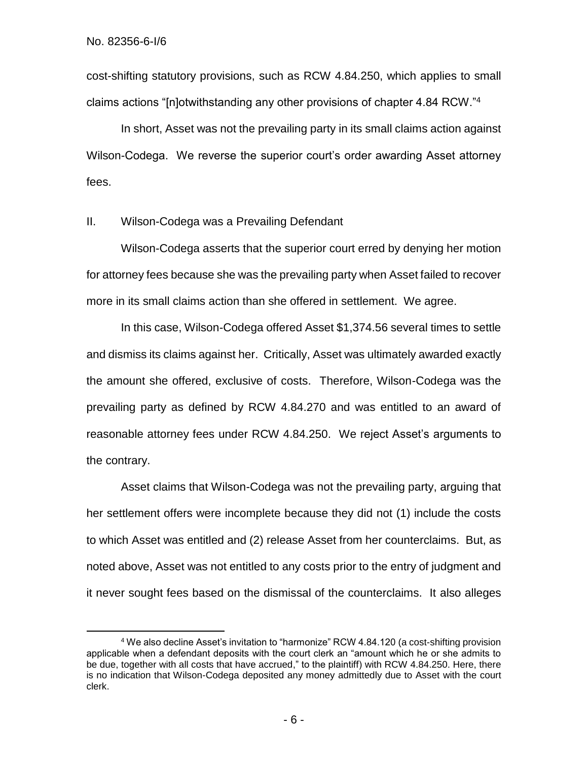$\overline{a}$ 

cost-shifting statutory provisions, such as RCW 4.84.250, which applies to small claims actions "[n]otwithstanding any other provisions of chapter 4.84 RCW."<sup>4</sup>

In short, Asset was not the prevailing party in its small claims action against Wilson-Codega. We reverse the superior court's order awarding Asset attorney fees.

# II. Wilson-Codega was a Prevailing Defendant

Wilson-Codega asserts that the superior court erred by denying her motion for attorney fees because she was the prevailing party when Asset failed to recover more in its small claims action than she offered in settlement. We agree.

In this case, Wilson-Codega offered Asset \$1,374.56 several times to settle and dismiss its claims against her. Critically, Asset was ultimately awarded exactly the amount she offered, exclusive of costs. Therefore, Wilson-Codega was the prevailing party as defined by RCW 4.84.270 and was entitled to an award of reasonable attorney fees under RCW 4.84.250. We reject Asset's arguments to the contrary.

Asset claims that Wilson-Codega was not the prevailing party, arguing that her settlement offers were incomplete because they did not (1) include the costs to which Asset was entitled and (2) release Asset from her counterclaims. But, as noted above, Asset was not entitled to any costs prior to the entry of judgment and it never sought fees based on the dismissal of the counterclaims. It also alleges

<sup>4</sup> We also decline Asset's invitation to "harmonize" RCW 4.84.120 (a cost-shifting provision applicable when a defendant deposits with the court clerk an "amount which he or she admits to be due, together with all costs that have accrued," to the plaintiff) with RCW 4.84.250. Here, there is no indication that Wilson-Codega deposited any money admittedly due to Asset with the court clerk.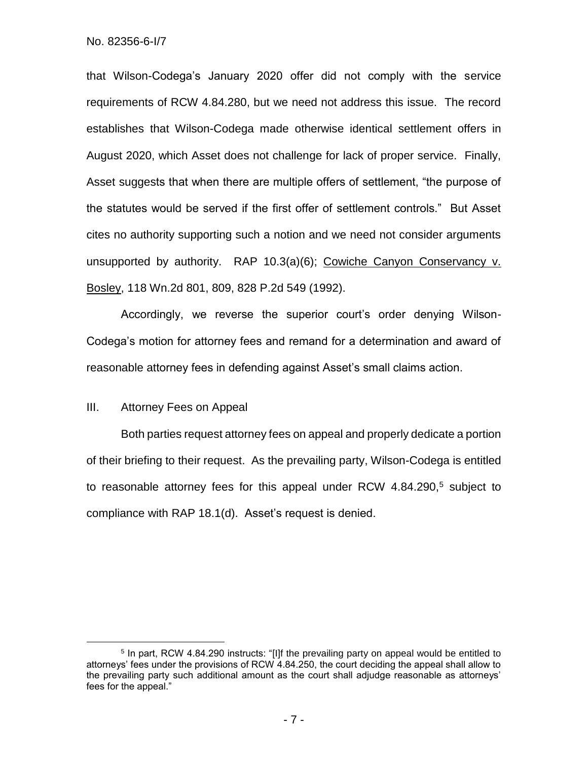that Wilson-Codega's January 2020 offer did not comply with the service requirements of RCW 4.84.280, but we need not address this issue. The record establishes that Wilson-Codega made otherwise identical settlement offers in August 2020, which Asset does not challenge for lack of proper service. Finally, Asset suggests that when there are multiple offers of settlement, "the purpose of the statutes would be served if the first offer of settlement controls." But Asset cites no authority supporting such a notion and we need not consider arguments unsupported by authority. RAP 10.3(a)(6); Cowiche Canyon Conservancy v. Bosley, 118 Wn.2d 801, 809, 828 P.2d 549 (1992).

Accordingly, we reverse the superior court's order denying Wilson-Codega's motion for attorney fees and remand for a determination and award of reasonable attorney fees in defending against Asset's small claims action.

## III. Attorney Fees on Appeal

 $\overline{a}$ 

Both parties request attorney fees on appeal and properly dedicate a portion of their briefing to their request. As the prevailing party, Wilson-Codega is entitled to reasonable attorney fees for this appeal under RCW  $4.84.290<sup>5</sup>$  subject to compliance with RAP 18.1(d). Asset's request is denied.

<sup>&</sup>lt;sup>5</sup> In part, RCW 4.84.290 instructs: "[I]f the prevailing party on appeal would be entitled to attorneys' fees under the provisions of RCW 4.84.250, the court deciding the appeal shall allow to the prevailing party such additional amount as the court shall adjudge reasonable as attorneys' fees for the appeal."